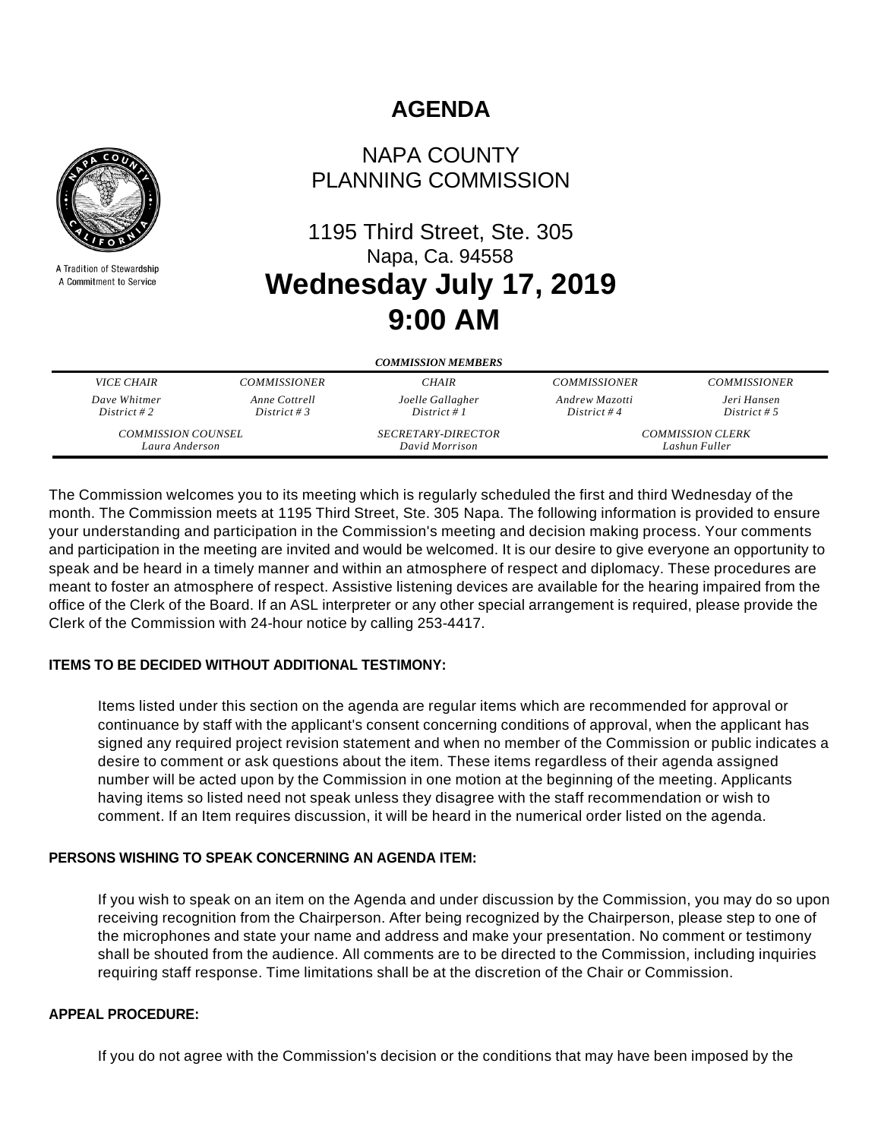

A Tradition of Stewardship A Commitment to Service

# **AGENDA**

## NAPA COUNTY PLANNING COMMISSION

# 1195 Third Street, Ste. 305 Napa, Ca. 94558 **Wednesday July 17, 2019 9:00 AM**

| <b>COMMISSION MEMBERS</b> |                     |                           |                         |                     |
|---------------------------|---------------------|---------------------------|-------------------------|---------------------|
| <i>VICE CHAIR</i>         | <b>COMMISSIONER</b> | <b>CHAIR</b>              | <b>COMMISSIONER</b>     | <b>COMMISSIONER</b> |
| Dave Whitmer              | Anne Cottrell       | Joelle Gallagher          | Andrew Mazotti          | Jeri Hansen         |
| District #2               | District # 3        | District # $1$            | District #4             | District # 5        |
| <b>COMMISSION COUNSEL</b> |                     | <i>SECRETARY-DIRECTOR</i> | <b>COMMISSION CLERK</b> |                     |
| Laura Anderson            |                     | David Morrison            | Lashun Fuller           |                     |

The Commission welcomes you to its meeting which is regularly scheduled the first and third Wednesday of the month. The Commission meets at 1195 Third Street, Ste. 305 Napa. The following information is provided to ensure your understanding and participation in the Commission's meeting and decision making process. Your comments and participation in the meeting are invited and would be welcomed. It is our desire to give everyone an opportunity to speak and be heard in a timely manner and within an atmosphere of respect and diplomacy. These procedures are meant to foster an atmosphere of respect. Assistive listening devices are available for the hearing impaired from the office of the Clerk of the Board. If an ASL interpreter or any other special arrangement is required, please provide the Clerk of the Commission with 24-hour notice by calling 253-4417.

## **ITEMS TO BE DECIDED WITHOUT ADDITIONAL TESTIMONY:**

Items listed under this section on the agenda are regular items which are recommended for approval or continuance by staff with the applicant's consent concerning conditions of approval, when the applicant has signed any required project revision statement and when no member of the Commission or public indicates a desire to comment or ask questions about the item. These items regardless of their agenda assigned number will be acted upon by the Commission in one motion at the beginning of the meeting. Applicants having items so listed need not speak unless they disagree with the staff recommendation or wish to comment. If an Item requires discussion, it will be heard in the numerical order listed on the agenda.

## **PERSONS WISHING TO SPEAK CONCERNING AN AGENDA ITEM:**

If you wish to speak on an item on the Agenda and under discussion by the Commission, you may do so upon receiving recognition from the Chairperson. After being recognized by the Chairperson, please step to one of the microphones and state your name and address and make your presentation. No comment or testimony shall be shouted from the audience. All comments are to be directed to the Commission, including inquiries requiring staff response. Time limitations shall be at the discretion of the Chair or Commission.

## **APPEAL PROCEDURE:**

If you do not agree with the Commission's decision or the conditions that may have been imposed by the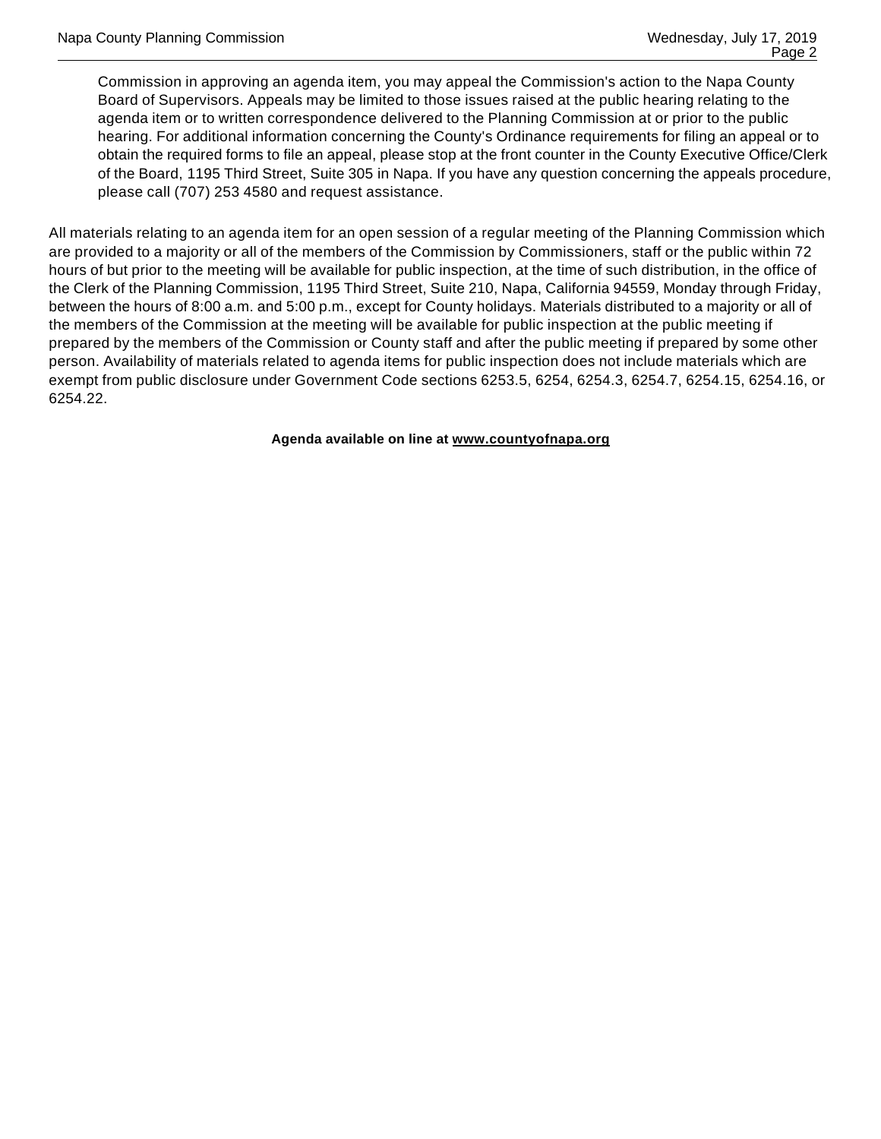Commission in approving an agenda item, you may appeal the Commission's action to the Napa County Board of Supervisors. Appeals may be limited to those issues raised at the public hearing relating to the agenda item or to written correspondence delivered to the Planning Commission at or prior to the public hearing. For additional information concerning the County's Ordinance requirements for filing an appeal or to obtain the required forms to file an appeal, please stop at the front counter in the County Executive Office/Clerk of the Board, 1195 Third Street, Suite 305 in Napa. If you have any question concerning the appeals procedure, please call (707) 253 4580 and request assistance.

All materials relating to an agenda item for an open session of a regular meeting of the Planning Commission which are provided to a majority or all of the members of the Commission by Commissioners, staff or the public within 72 hours of but prior to the meeting will be available for public inspection, at the time of such distribution, in the office of the Clerk of the Planning Commission, 1195 Third Street, Suite 210, Napa, California 94559, Monday through Friday, between the hours of 8:00 a.m. and 5:00 p.m., except for County holidays. Materials distributed to a majority or all of the members of the Commission at the meeting will be available for public inspection at the public meeting if prepared by the members of the Commission or County staff and after the public meeting if prepared by some other person. Availability of materials related to agenda items for public inspection does not include materials which are exempt from public disclosure under Government Code sections 6253.5, 6254, 6254.3, 6254.7, 6254.15, 6254.16, or 6254.22.

**Agenda available on line at www.countyofnapa.org**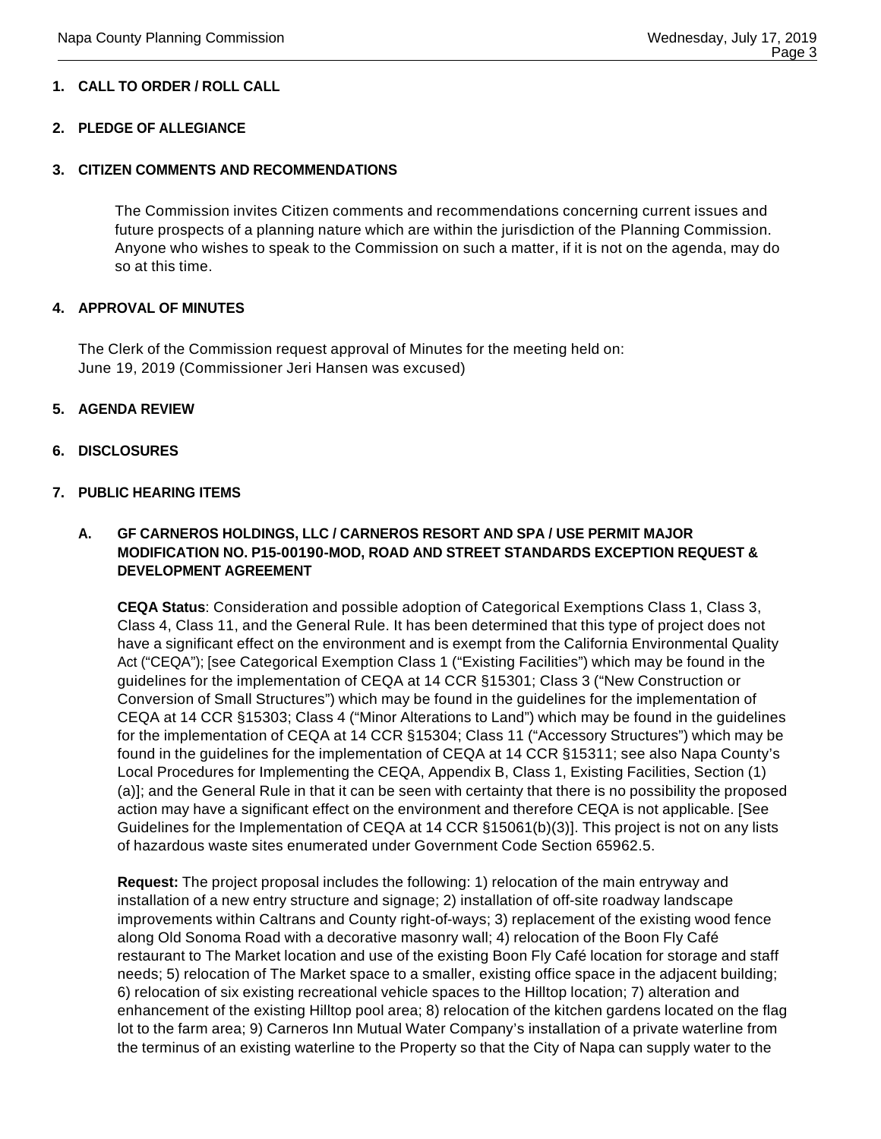## **1. CALL TO ORDER / ROLL CALL**

#### **2. PLEDGE OF ALLEGIANCE**

#### **3. CITIZEN COMMENTS AND RECOMMENDATIONS**

The Commission invites Citizen comments and recommendations concerning current issues and future prospects of a planning nature which are within the jurisdiction of the Planning Commission. Anyone who wishes to speak to the Commission on such a matter, if it is not on the agenda, may do so at this time.

#### **4. APPROVAL OF MINUTES**

The Clerk of the Commission request approval of Minutes for the meeting held on: June 19, 2019 (Commissioner Jeri Hansen was excused)

#### **5. AGENDA REVIEW**

#### **6. DISCLOSURES**

#### **7. PUBLIC HEARING ITEMS**

### **A. GF CARNEROS HOLDINGS, LLC / CARNEROS RESORT AND SPA / USE PERMIT MAJOR MODIFICATION NO. P15-00190-MOD, ROAD AND STREET STANDARDS EXCEPTION REQUEST & DEVELOPMENT AGREEMENT**

**CEQA Status**: Consideration and possible adoption of Categorical Exemptions Class 1, Class 3, Class 4, Class 11, and the General Rule. It has been determined that this type of project does not have a significant effect on the environment and is exempt from the California Environmental Quality Act ("CEQA"); [see Categorical Exemption Class 1 ("Existing Facilities") which may be found in the guidelines for the implementation of CEQA at 14 CCR §15301; Class 3 ("New Construction or Conversion of Small Structures") which may be found in the guidelines for the implementation of CEQA at 14 CCR §15303; Class 4 ("Minor Alterations to Land") which may be found in the guidelines for the implementation of CEQA at 14 CCR §15304; Class 11 ("Accessory Structures") which may be found in the guidelines for the implementation of CEQA at 14 CCR §15311; see also Napa County's Local Procedures for Implementing the CEQA, Appendix B, Class 1, Existing Facilities, Section (1) (a)]; and the General Rule in that it can be seen with certainty that there is no possibility the proposed action may have a significant effect on the environment and therefore CEQA is not applicable. [See Guidelines for the Implementation of CEQA at 14 CCR §15061(b)(3)]. This project is not on any lists of hazardous waste sites enumerated under Government Code Section 65962.5.

**Request:** The project proposal includes the following: 1) relocation of the main entryway and installation of a new entry structure and signage; 2) installation of off-site roadway landscape improvements within Caltrans and County right-of-ways; 3) replacement of the existing wood fence along Old Sonoma Road with a decorative masonry wall; 4) relocation of the Boon Fly Café restaurant to The Market location and use of the existing Boon Fly Café location for storage and staff needs; 5) relocation of The Market space to a smaller, existing office space in the adjacent building; 6) relocation of six existing recreational vehicle spaces to the Hilltop location; 7) alteration and enhancement of the existing Hilltop pool area; 8) relocation of the kitchen gardens located on the flag lot to the farm area; 9) Carneros Inn Mutual Water Company's installation of a private waterline from the terminus of an existing waterline to the Property so that the City of Napa can supply water to the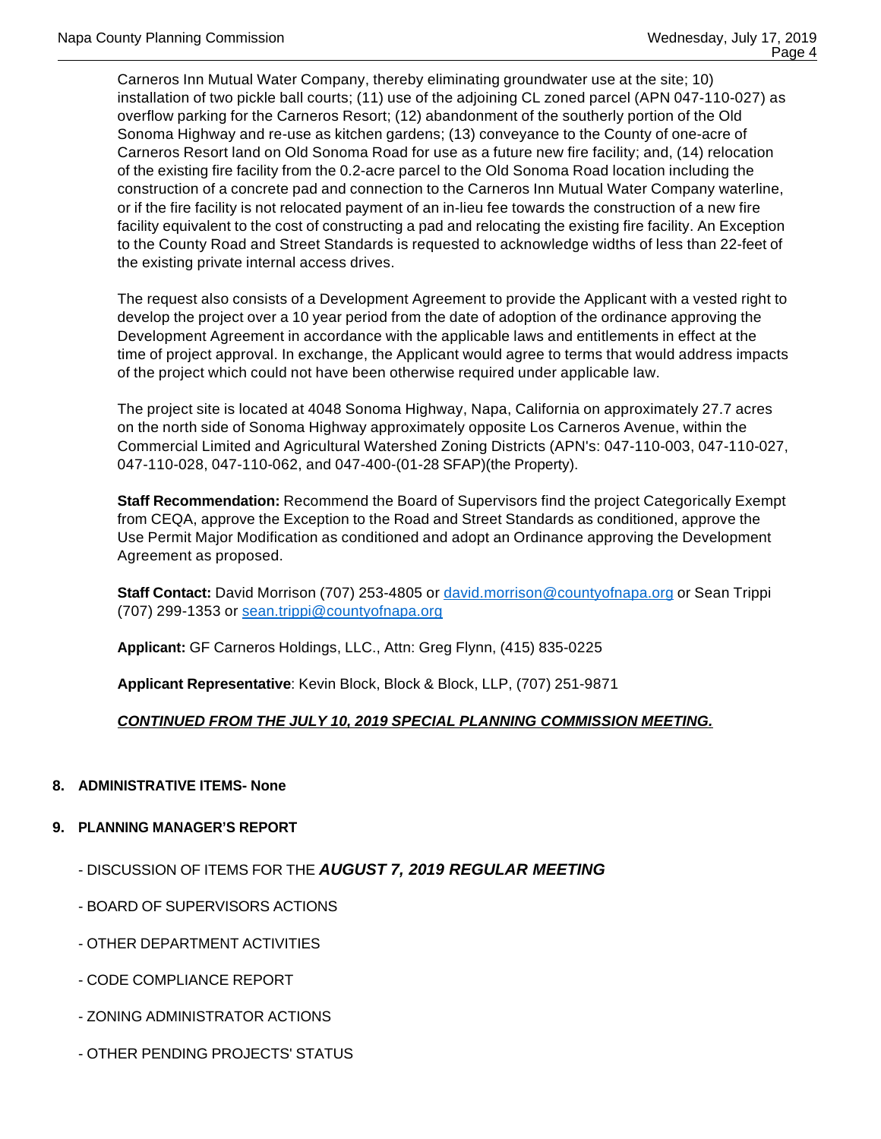Carneros Inn Mutual Water Company, thereby eliminating groundwater use at the site; 10) installation of two pickle ball courts; (11) use of the adjoining CL zoned parcel (APN 047-110-027) as overflow parking for the Carneros Resort; (12) abandonment of the southerly portion of the Old Sonoma Highway and re-use as kitchen gardens; (13) conveyance to the County of one-acre of Carneros Resort land on Old Sonoma Road for use as a future new fire facility; and, (14) relocation of the existing fire facility from the 0.2-acre parcel to the Old Sonoma Road location including the construction of a concrete pad and connection to the Carneros Inn Mutual Water Company waterline, or if the fire facility is not relocated payment of an in-lieu fee towards the construction of a new fire facility equivalent to the cost of constructing a pad and relocating the existing fire facility. An Exception to the County Road and Street Standards is requested to acknowledge widths of less than 22-feet of the existing private internal access drives.

The request also consists of a Development Agreement to provide the Applicant with a vested right to develop the project over a 10 year period from the date of adoption of the ordinance approving the Development Agreement in accordance with the applicable laws and entitlements in effect at the time of project approval. In exchange, the Applicant would agree to terms that would address impacts of the project which could not have been otherwise required under applicable law.

The project site is located at 4048 Sonoma Highway, Napa, California on approximately 27.7 acres on the north side of Sonoma Highway approximately opposite Los Carneros Avenue, within the Commercial Limited and Agricultural Watershed Zoning Districts (APN's: 047-110-003, 047-110-027, 047-110-028, 047-110-062, and 047-400-(01-28 SFAP)(the Property).

**Staff Recommendation:** Recommend the Board of Supervisors find the project Categorically Exempt from CEQA, approve the Exception to the Road and Street Standards as conditioned, approve the Use Permit Major Modification as conditioned and adopt an Ordinance approving the Development Agreement as proposed.

**Staff Contact:** David Morrison (707) 253-4805 or david.morrison@countyofnapa.org or Sean Trippi (707) 299-1353 or sean.trippi@countyofnapa.org

**Applicant:** GF Carneros Holdings, LLC., Attn: Greg Flynn, (415) 835-0225

**Applicant Representative**: Kevin Block, Block & Block, LLP, (707) 251-9871

## **CONTINUED FROM THE JULY 10, 2019 SPECIAL PLANNING COMMISSION MEETING.**

## **8. ADMINISTRATIVE ITEMS- None**

## **9. PLANNING MANAGER'S REPORT**

- DISCUSSION OF ITEMS FOR THE **AUGUST 7, 2019 REGULAR MEETING**
- BOARD OF SUPERVISORS ACTIONS
- OTHER DEPARTMENT ACTIVITIES
- CODE COMPLIANCE REPORT
- ZONING ADMINISTRATOR ACTIONS
- OTHER PENDING PROJECTS' STATUS